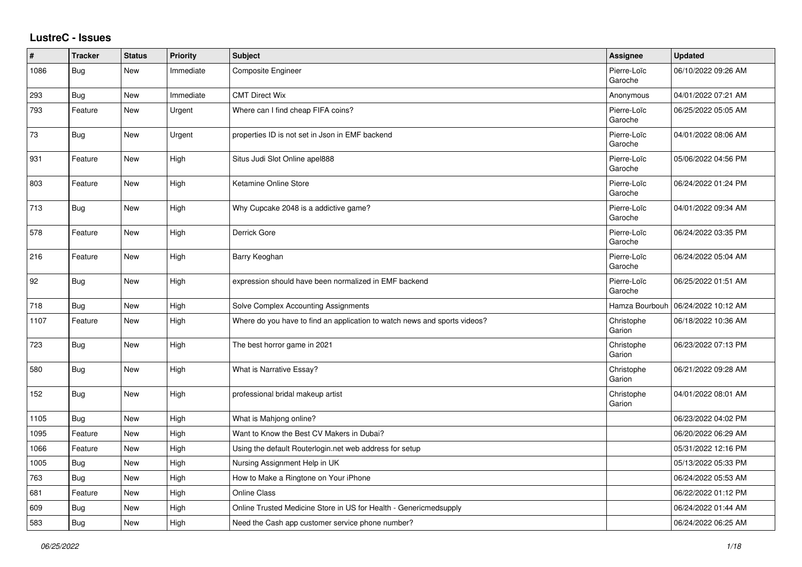## **LustreC - Issues**

| $\vert$ # | <b>Tracker</b> | <b>Status</b> | <b>Priority</b> | <b>Subject</b>                                                            | <b>Assignee</b>        | <b>Updated</b>      |
|-----------|----------------|---------------|-----------------|---------------------------------------------------------------------------|------------------------|---------------------|
| 1086      | Bug            | New           | Immediate       | Composite Engineer                                                        | Pierre-Loïc<br>Garoche | 06/10/2022 09:26 AM |
| 293       | Bug            | New           | Immediate       | <b>CMT Direct Wix</b>                                                     | Anonymous              | 04/01/2022 07:21 AM |
| 793       | Feature        | New           | Urgent          | Where can I find cheap FIFA coins?                                        | Pierre-Loïc<br>Garoche | 06/25/2022 05:05 AM |
| 73        | Bug            | New           | Urgent          | properties ID is not set in Json in EMF backend                           | Pierre-Loïc<br>Garoche | 04/01/2022 08:06 AM |
| 931       | Feature        | New           | High            | Situs Judi Slot Online apel888                                            | Pierre-Loïc<br>Garoche | 05/06/2022 04:56 PM |
| 803       | Feature        | New           | High            | Ketamine Online Store                                                     | Pierre-Loïc<br>Garoche | 06/24/2022 01:24 PM |
| 713       | <b>Bug</b>     | New           | High            | Why Cupcake 2048 is a addictive game?                                     | Pierre-Loïc<br>Garoche | 04/01/2022 09:34 AM |
| 578       | Feature        | <b>New</b>    | High            | Derrick Gore                                                              | Pierre-Loïc<br>Garoche | 06/24/2022 03:35 PM |
| 216       | Feature        | New           | High            | Barry Keoghan                                                             | Pierre-Loïc<br>Garoche | 06/24/2022 05:04 AM |
| 92        | Bug            | New           | High            | expression should have been normalized in EMF backend                     | Pierre-Loïc<br>Garoche | 06/25/2022 01:51 AM |
| 718       | Bug            | New           | High            | Solve Complex Accounting Assignments                                      | Hamza Bourbouh         | 06/24/2022 10:12 AM |
| 1107      | Feature        | New           | High            | Where do you have to find an application to watch news and sports videos? | Christophe<br>Garion   | 06/18/2022 10:36 AM |
| 723       | Bug            | <b>New</b>    | High            | The best horror game in 2021                                              | Christophe<br>Garion   | 06/23/2022 07:13 PM |
| 580       | Bug            | <b>New</b>    | High            | What is Narrative Essay?                                                  | Christophe<br>Garion   | 06/21/2022 09:28 AM |
| 152       | Bug            | New           | High            | professional bridal makeup artist                                         | Christophe<br>Garion   | 04/01/2022 08:01 AM |
| 1105      | Bug            | New           | High            | What is Mahjong online?                                                   |                        | 06/23/2022 04:02 PM |
| 1095      | Feature        | <b>New</b>    | High            | Want to Know the Best CV Makers in Dubai?                                 |                        | 06/20/2022 06:29 AM |
| 1066      | Feature        | <b>New</b>    | High            | Using the default Routerlogin.net web address for setup                   |                        | 05/31/2022 12:16 PM |
| 1005      | Bug            | New           | High            | Nursing Assignment Help in UK                                             |                        | 05/13/2022 05:33 PM |
| 763       | Bug            | New           | High            | How to Make a Ringtone on Your iPhone                                     |                        | 06/24/2022 05:53 AM |
| 681       | Feature        | <b>New</b>    | High            | <b>Online Class</b>                                                       |                        | 06/22/2022 01:12 PM |
| 609       | Bug            | New           | High            | Online Trusted Medicine Store in US for Health - Genericmedsupply         |                        | 06/24/2022 01:44 AM |
| 583       | Bug            | New           | High            | Need the Cash app customer service phone number?                          |                        | 06/24/2022 06:25 AM |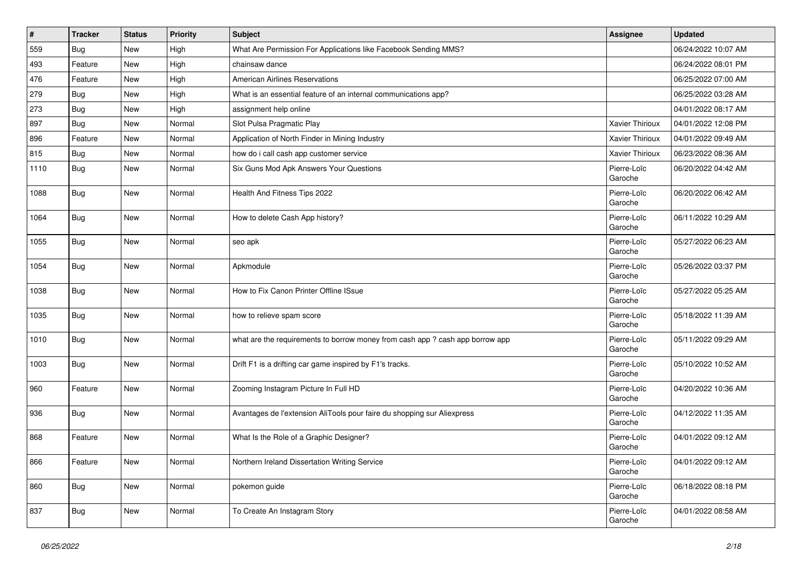| #    | <b>Tracker</b> | <b>Status</b> | <b>Priority</b> | <b>Subject</b>                                                                | Assignee               | <b>Updated</b>      |
|------|----------------|---------------|-----------------|-------------------------------------------------------------------------------|------------------------|---------------------|
| 559  | Bug            | New           | High            | What Are Permission For Applications like Facebook Sending MMS?               |                        | 06/24/2022 10:07 AM |
| 493  | Feature        | <b>New</b>    | High            | chainsaw dance                                                                |                        | 06/24/2022 08:01 PM |
| 476  | Feature        | New           | High            | <b>American Airlines Reservations</b>                                         |                        | 06/25/2022 07:00 AM |
| 279  | Bug            | New           | High            | What is an essential feature of an internal communications app?               |                        | 06/25/2022 03:28 AM |
| 273  | Bug            | <b>New</b>    | High            | assignment help online                                                        |                        | 04/01/2022 08:17 AM |
| 897  | Bug            | New           | Normal          | Slot Pulsa Pragmatic Play                                                     | Xavier Thirioux        | 04/01/2022 12:08 PM |
| 896  | Feature        | New           | Normal          | Application of North Finder in Mining Industry                                | Xavier Thirioux        | 04/01/2022 09:49 AM |
| 815  | Bug            | New           | Normal          | how do i call cash app customer service                                       | Xavier Thirioux        | 06/23/2022 08:36 AM |
| 1110 | Bug            | New           | Normal          | Six Guns Mod Apk Answers Your Questions                                       | Pierre-Loïc<br>Garoche | 06/20/2022 04:42 AM |
| 1088 | Bug            | <b>New</b>    | Normal          | Health And Fitness Tips 2022                                                  | Pierre-Loïc<br>Garoche | 06/20/2022 06:42 AM |
| 1064 | Bug            | <b>New</b>    | Normal          | How to delete Cash App history?                                               | Pierre-Loïc<br>Garoche | 06/11/2022 10:29 AM |
| 1055 | Bug            | New           | Normal          | seo apk                                                                       | Pierre-Loïc<br>Garoche | 05/27/2022 06:23 AM |
| 1054 | <b>Bug</b>     | New           | Normal          | Apkmodule                                                                     | Pierre-Loïc<br>Garoche | 05/26/2022 03:37 PM |
| 1038 | Bug            | <b>New</b>    | Normal          | How to Fix Canon Printer Offline ISsue                                        | Pierre-Loïc<br>Garoche | 05/27/2022 05:25 AM |
| 1035 | Bug            | <b>New</b>    | Normal          | how to relieve spam score                                                     | Pierre-Loïc<br>Garoche | 05/18/2022 11:39 AM |
| 1010 | Bug            | <b>New</b>    | Normal          | what are the requirements to borrow money from cash app ? cash app borrow app | Pierre-Loïc<br>Garoche | 05/11/2022 09:29 AM |
| 1003 | Bug            | New           | Normal          | Drift F1 is a drifting car game inspired by F1's tracks.                      | Pierre-Loïc<br>Garoche | 05/10/2022 10:52 AM |
| 960  | Feature        | <b>New</b>    | Normal          | Zooming Instagram Picture In Full HD                                          | Pierre-Loïc<br>Garoche | 04/20/2022 10:36 AM |
| 936  | Bug            | New           | Normal          | Avantages de l'extension AliTools pour faire du shopping sur Aliexpress       | Pierre-Loïc<br>Garoche | 04/12/2022 11:35 AM |
| 868  | Feature        | <b>New</b>    | Normal          | What Is the Role of a Graphic Designer?                                       | Pierre-Loïc<br>Garoche | 04/01/2022 09:12 AM |
| 866  | Feature        | New           | Normal          | Northern Ireland Dissertation Writing Service                                 | Pierre-Loïc<br>Garoche | 04/01/2022 09:12 AM |
| 860  | <b>Bug</b>     | New           | Normal          | pokemon guide                                                                 | Pierre-Loïc<br>Garoche | 06/18/2022 08:18 PM |
| 837  | <b>Bug</b>     | New           | Normal          | To Create An Instagram Story                                                  | Pierre-Loïc<br>Garoche | 04/01/2022 08:58 AM |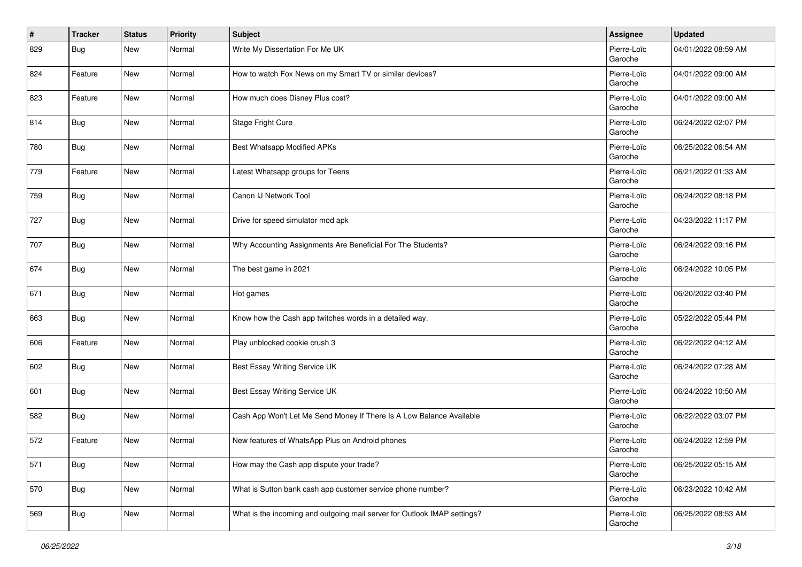| $\vert$ # | <b>Tracker</b> | <b>Status</b> | <b>Priority</b> | <b>Subject</b>                                                           | Assignee               | <b>Updated</b>      |
|-----------|----------------|---------------|-----------------|--------------------------------------------------------------------------|------------------------|---------------------|
| 829       | <b>Bug</b>     | New           | Normal          | Write My Dissertation For Me UK                                          | Pierre-Loïc<br>Garoche | 04/01/2022 08:59 AM |
| 824       | Feature        | New           | Normal          | How to watch Fox News on my Smart TV or similar devices?                 | Pierre-Loïc<br>Garoche | 04/01/2022 09:00 AM |
| 823       | Feature        | New           | Normal          | How much does Disney Plus cost?                                          | Pierre-Loïc<br>Garoche | 04/01/2022 09:00 AM |
| 814       | Bug            | New           | Normal          | Stage Fright Cure                                                        | Pierre-Loïc<br>Garoche | 06/24/2022 02:07 PM |
| 780       | Bug            | New           | Normal          | Best Whatsapp Modified APKs                                              | Pierre-Loïc<br>Garoche | 06/25/2022 06:54 AM |
| 779       | Feature        | New           | Normal          | Latest Whatsapp groups for Teens                                         | Pierre-Loïc<br>Garoche | 06/21/2022 01:33 AM |
| 759       | Bug            | New           | Normal          | Canon IJ Network Tool                                                    | Pierre-Loïc<br>Garoche | 06/24/2022 08:18 PM |
| 727       | Bug            | New           | Normal          | Drive for speed simulator mod apk                                        | Pierre-Loïc<br>Garoche | 04/23/2022 11:17 PM |
| 707       | <b>Bug</b>     | New           | Normal          | Why Accounting Assignments Are Beneficial For The Students?              | Pierre-Loïc<br>Garoche | 06/24/2022 09:16 PM |
| 674       | Bug            | New           | Normal          | The best game in 2021                                                    | Pierre-Loïc<br>Garoche | 06/24/2022 10:05 PM |
| 671       | <b>Bug</b>     | New           | Normal          | Hot games                                                                | Pierre-Loïc<br>Garoche | 06/20/2022 03:40 PM |
| 663       | Bug            | New           | Normal          | Know how the Cash app twitches words in a detailed way.                  | Pierre-Loïc<br>Garoche | 05/22/2022 05:44 PM |
| 606       | Feature        | New           | Normal          | Play unblocked cookie crush 3                                            | Pierre-Loïc<br>Garoche | 06/22/2022 04:12 AM |
| 602       | Bug            | New           | Normal          | Best Essay Writing Service UK                                            | Pierre-Loïc<br>Garoche | 06/24/2022 07:28 AM |
| 601       | Bug            | New           | Normal          | Best Essay Writing Service UK                                            | Pierre-Loïc<br>Garoche | 06/24/2022 10:50 AM |
| 582       | <b>Bug</b>     | New           | Normal          | Cash App Won't Let Me Send Money If There Is A Low Balance Available     | Pierre-Loïc<br>Garoche | 06/22/2022 03:07 PM |
| 572       | Feature        | New           | Normal          | New features of WhatsApp Plus on Android phones                          | Pierre-Loïc<br>Garoche | 06/24/2022 12:59 PM |
| 571       | <b>Bug</b>     | New           | Normal          | How may the Cash app dispute your trade?                                 | Pierre-Loïc<br>Garoche | 06/25/2022 05:15 AM |
| 570       | <b>Bug</b>     | New           | Normal          | What is Sutton bank cash app customer service phone number?              | Pierre-Loïc<br>Garoche | 06/23/2022 10:42 AM |
| 569       | <b>Bug</b>     | New           | Normal          | What is the incoming and outgoing mail server for Outlook IMAP settings? | Pierre-Loïc<br>Garoche | 06/25/2022 08:53 AM |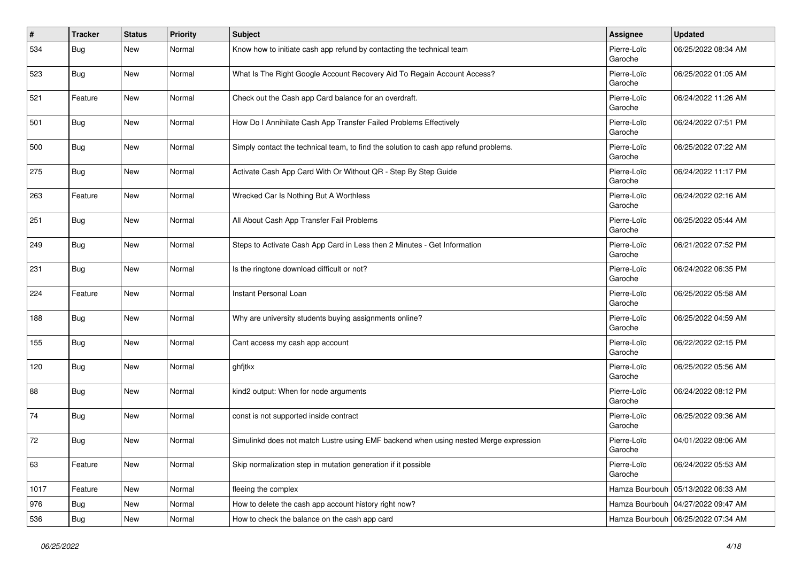| $\pmb{\#}$ | <b>Tracker</b> | <b>Status</b> | <b>Priority</b> | <b>Subject</b>                                                                       | Assignee               | <b>Updated</b>                       |
|------------|----------------|---------------|-----------------|--------------------------------------------------------------------------------------|------------------------|--------------------------------------|
| 534        | <b>Bug</b>     | New           | Normal          | Know how to initiate cash app refund by contacting the technical team                | Pierre-Loïc<br>Garoche | 06/25/2022 08:34 AM                  |
| 523        | Bug            | New           | Normal          | What Is The Right Google Account Recovery Aid To Regain Account Access?              | Pierre-Loïc<br>Garoche | 06/25/2022 01:05 AM                  |
| 521        | Feature        | New           | Normal          | Check out the Cash app Card balance for an overdraft.                                | Pierre-Loïc<br>Garoche | 06/24/2022 11:26 AM                  |
| 501        | Bug            | New           | Normal          | How Do I Annihilate Cash App Transfer Failed Problems Effectively                    | Pierre-Loïc<br>Garoche | 06/24/2022 07:51 PM                  |
| 500        | Bug            | New           | Normal          | Simply contact the technical team, to find the solution to cash app refund problems. | Pierre-Loïc<br>Garoche | 06/25/2022 07:22 AM                  |
| 275        | Bug            | New           | Normal          | Activate Cash App Card With Or Without QR - Step By Step Guide                       | Pierre-Loïc<br>Garoche | 06/24/2022 11:17 PM                  |
| 263        | Feature        | New           | Normal          | Wrecked Car Is Nothing But A Worthless                                               | Pierre-Loïc<br>Garoche | 06/24/2022 02:16 AM                  |
| 251        | Bug            | New           | Normal          | All About Cash App Transfer Fail Problems                                            | Pierre-Loïc<br>Garoche | 06/25/2022 05:44 AM                  |
| 249        | Bug            | New           | Normal          | Steps to Activate Cash App Card in Less then 2 Minutes - Get Information             | Pierre-Loïc<br>Garoche | 06/21/2022 07:52 PM                  |
| 231        | Bug            | New           | Normal          | Is the ringtone download difficult or not?                                           | Pierre-Loïc<br>Garoche | 06/24/2022 06:35 PM                  |
| 224        | Feature        | New           | Normal          | Instant Personal Loan                                                                | Pierre-Loïc<br>Garoche | 06/25/2022 05:58 AM                  |
| 188        | Bug            | New           | Normal          | Why are university students buying assignments online?                               | Pierre-Loïc<br>Garoche | 06/25/2022 04:59 AM                  |
| 155        | Bug            | New           | Normal          | Cant access my cash app account                                                      | Pierre-Loïc<br>Garoche | 06/22/2022 02:15 PM                  |
| 120        | Bug            | New           | Normal          | ghfitkx                                                                              | Pierre-Loïc<br>Garoche | 06/25/2022 05:56 AM                  |
| 88         | Bug            | New           | Normal          | kind2 output: When for node arguments                                                | Pierre-Loïc<br>Garoche | 06/24/2022 08:12 PM                  |
| 74         | <b>Bug</b>     | New           | Normal          | const is not supported inside contract                                               | Pierre-Loïc<br>Garoche | 06/25/2022 09:36 AM                  |
| 72         | Bug            | New           | Normal          | Simulinkd does not match Lustre using EMF backend when using nested Merge expression | Pierre-Loïc<br>Garoche | 04/01/2022 08:06 AM                  |
| 63         | Feature        | New           | Normal          | Skip normalization step in mutation generation if it possible                        | Pierre-Loïc<br>Garoche | 06/24/2022 05:53 AM                  |
| 1017       | Feature        | New           | Normal          | fleeing the complex                                                                  | Hamza Bourbouh         | 05/13/2022 06:33 AM                  |
| 976        | Bug            | New           | Normal          | How to delete the cash app account history right now?                                | Hamza Bourbouh         | 04/27/2022 09:47 AM                  |
| 536        | Bug            | New           | Normal          | How to check the balance on the cash app card                                        |                        | Hamza Bourbouh   06/25/2022 07:34 AM |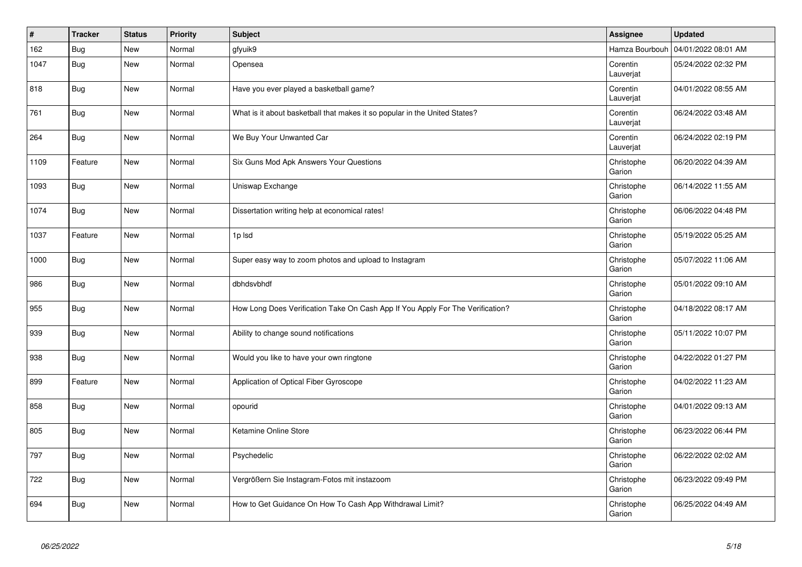| $\vert$ # | <b>Tracker</b> | <b>Status</b> | <b>Priority</b> | <b>Subject</b>                                                                 | Assignee              | <b>Updated</b>      |
|-----------|----------------|---------------|-----------------|--------------------------------------------------------------------------------|-----------------------|---------------------|
| 162       | Bug            | <b>New</b>    | Normal          | gfyuik9                                                                        | Hamza Bourbouh        | 04/01/2022 08:01 AM |
| 1047      | Bug            | <b>New</b>    | Normal          | Opensea                                                                        | Corentin<br>Lauverjat | 05/24/2022 02:32 PM |
| 818       | <b>Bug</b>     | New           | Normal          | Have you ever played a basketball game?                                        | Corentin<br>Lauverjat | 04/01/2022 08:55 AM |
| 761       | Bug            | New           | Normal          | What is it about basketball that makes it so popular in the United States?     | Corentin<br>Lauverjat | 06/24/2022 03:48 AM |
| 264       | Bug            | New           | Normal          | We Buy Your Unwanted Car                                                       | Corentin<br>Lauverjat | 06/24/2022 02:19 PM |
| 1109      | Feature        | New           | Normal          | Six Guns Mod Apk Answers Your Questions                                        | Christophe<br>Garion  | 06/20/2022 04:39 AM |
| 1093      | Bug            | <b>New</b>    | Normal          | Uniswap Exchange                                                               | Christophe<br>Garion  | 06/14/2022 11:55 AM |
| 1074      | Bug            | New           | Normal          | Dissertation writing help at economical rates!                                 | Christophe<br>Garion  | 06/06/2022 04:48 PM |
| 1037      | Feature        | New           | Normal          | 1p lsd                                                                         | Christophe<br>Garion  | 05/19/2022 05:25 AM |
| 1000      | Bug            | <b>New</b>    | Normal          | Super easy way to zoom photos and upload to Instagram                          | Christophe<br>Garion  | 05/07/2022 11:06 AM |
| 986       | <b>Bug</b>     | <b>New</b>    | Normal          | dbhdsvbhdf                                                                     | Christophe<br>Garion  | 05/01/2022 09:10 AM |
| 955       | Bug            | <b>New</b>    | Normal          | How Long Does Verification Take On Cash App If You Apply For The Verification? | Christophe<br>Garion  | 04/18/2022 08:17 AM |
| 939       | <b>Bug</b>     | <b>New</b>    | Normal          | Ability to change sound notifications                                          | Christophe<br>Garion  | 05/11/2022 10:07 PM |
| 938       | Bug            | New           | Normal          | Would you like to have your own ringtone                                       | Christophe<br>Garion  | 04/22/2022 01:27 PM |
| 899       | Feature        | <b>New</b>    | Normal          | Application of Optical Fiber Gyroscope                                         | Christophe<br>Garion  | 04/02/2022 11:23 AM |
| 858       | Bug            | <b>New</b>    | Normal          | opourid                                                                        | Christophe<br>Garion  | 04/01/2022 09:13 AM |
| 805       | Bug            | New           | Normal          | Ketamine Online Store                                                          | Christophe<br>Garion  | 06/23/2022 06:44 PM |
| 797       | Bug            | New           | Normal          | Psychedelic                                                                    | Christophe<br>Garion  | 06/22/2022 02:02 AM |
| 722       | Bug            | <b>New</b>    | Normal          | Vergrößern Sie Instagram-Fotos mit instazoom                                   | Christophe<br>Garion  | 06/23/2022 09:49 PM |
| 694       | <b>Bug</b>     | <b>New</b>    | Normal          | How to Get Guidance On How To Cash App Withdrawal Limit?                       | Christophe<br>Garion  | 06/25/2022 04:49 AM |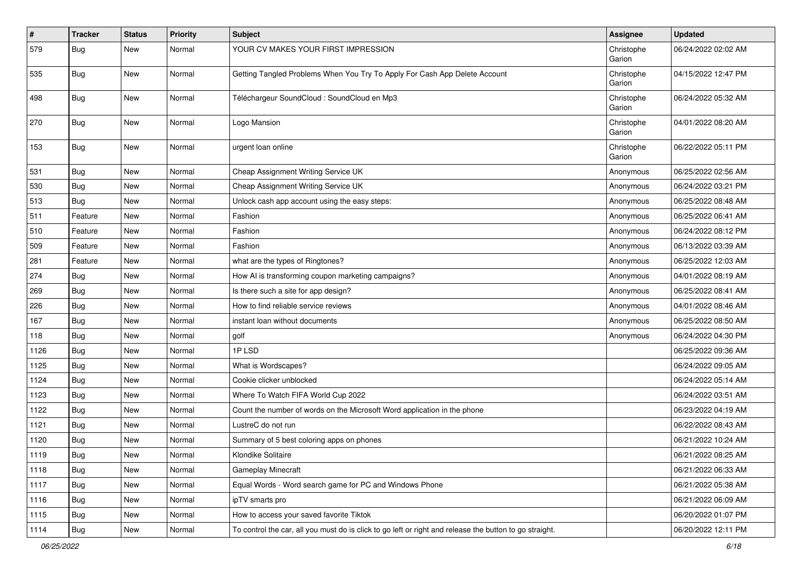| $\vert$ # | Tracker    | <b>Status</b> | Priority | <b>Subject</b>                                                                                          | Assignee             | <b>Updated</b>      |
|-----------|------------|---------------|----------|---------------------------------------------------------------------------------------------------------|----------------------|---------------------|
| 579       | <b>Bug</b> | New           | Normal   | YOUR CV MAKES YOUR FIRST IMPRESSION                                                                     | Christophe<br>Garion | 06/24/2022 02:02 AM |
| 535       | Bug        | New           | Normal   | Getting Tangled Problems When You Try To Apply For Cash App Delete Account                              | Christophe<br>Garion | 04/15/2022 12:47 PM |
| 498       | Bug        | New           | Normal   | Téléchargeur SoundCloud : SoundCloud en Mp3                                                             | Christophe<br>Garion | 06/24/2022 05:32 AM |
| 270       | Bug        | New           | Normal   | Logo Mansion                                                                                            | Christophe<br>Garion | 04/01/2022 08:20 AM |
| 153       | Bug        | New           | Normal   | urgent loan online                                                                                      | Christophe<br>Garion | 06/22/2022 05:11 PM |
| 531       | Bug        | New           | Normal   | Cheap Assignment Writing Service UK                                                                     | Anonymous            | 06/25/2022 02:56 AM |
| 530       | <b>Bug</b> | New           | Normal   | Cheap Assignment Writing Service UK                                                                     | Anonymous            | 06/24/2022 03:21 PM |
| 513       | Bug        | New           | Normal   | Unlock cash app account using the easy steps:                                                           | Anonymous            | 06/25/2022 08:48 AM |
| 511       | Feature    | New           | Normal   | Fashion                                                                                                 | Anonymous            | 06/25/2022 06:41 AM |
| 510       | Feature    | New           | Normal   | Fashion                                                                                                 | Anonymous            | 06/24/2022 08:12 PM |
| 509       | Feature    | New           | Normal   | Fashion                                                                                                 | Anonymous            | 06/13/2022 03:39 AM |
| 281       | Feature    | New           | Normal   | what are the types of Ringtones?                                                                        | Anonymous            | 06/25/2022 12:03 AM |
| 274       | Bug        | New           | Normal   | How AI is transforming coupon marketing campaigns?                                                      | Anonymous            | 04/01/2022 08:19 AM |
| 269       | <b>Bug</b> | New           | Normal   | Is there such a site for app design?                                                                    | Anonymous            | 06/25/2022 08:41 AM |
| 226       | Bug        | New           | Normal   | How to find reliable service reviews                                                                    | Anonymous            | 04/01/2022 08:46 AM |
| 167       | Bug        | New           | Normal   | instant loan without documents                                                                          | Anonymous            | 06/25/2022 08:50 AM |
| 118       | Bug        | New           | Normal   | golf                                                                                                    | Anonymous            | 06/24/2022 04:30 PM |
| 1126      | <b>Bug</b> | New           | Normal   | 1PLSD                                                                                                   |                      | 06/25/2022 09:36 AM |
| 1125      | <b>Bug</b> | New           | Normal   | What is Wordscapes?                                                                                     |                      | 06/24/2022 09:05 AM |
| 1124      | <b>Bug</b> | New           | Normal   | Cookie clicker unblocked                                                                                |                      | 06/24/2022 05:14 AM |
| 1123      | Bug        | New           | Normal   | Where To Watch FIFA World Cup 2022                                                                      |                      | 06/24/2022 03:51 AM |
| 1122      | <b>Bug</b> | New           | Normal   | Count the number of words on the Microsoft Word application in the phone                                |                      | 06/23/2022 04:19 AM |
| 1121      | Bug        | New           | Normal   | LustreC do not run                                                                                      |                      | 06/22/2022 08:43 AM |
| 1120      | <b>Bug</b> | New           | Normal   | Summary of 5 best coloring apps on phones                                                               |                      | 06/21/2022 10:24 AM |
| 1119      | <b>Bug</b> | New           | Normal   | Klondike Solitaire                                                                                      |                      | 06/21/2022 08:25 AM |
| 1118      | Bug        | New           | Normal   | <b>Gameplay Minecraft</b>                                                                               |                      | 06/21/2022 06:33 AM |
| 1117      | Bug        | New           | Normal   | Equal Words - Word search game for PC and Windows Phone                                                 |                      | 06/21/2022 05:38 AM |
| 1116      | Bug        | New           | Normal   | ipTV smarts pro                                                                                         |                      | 06/21/2022 06:09 AM |
| 1115      | Bug        | New           | Normal   | How to access your saved favorite Tiktok                                                                |                      | 06/20/2022 01:07 PM |
| 1114      | <b>Bug</b> | New           | Normal   | To control the car, all you must do is click to go left or right and release the button to go straight. |                      | 06/20/2022 12:11 PM |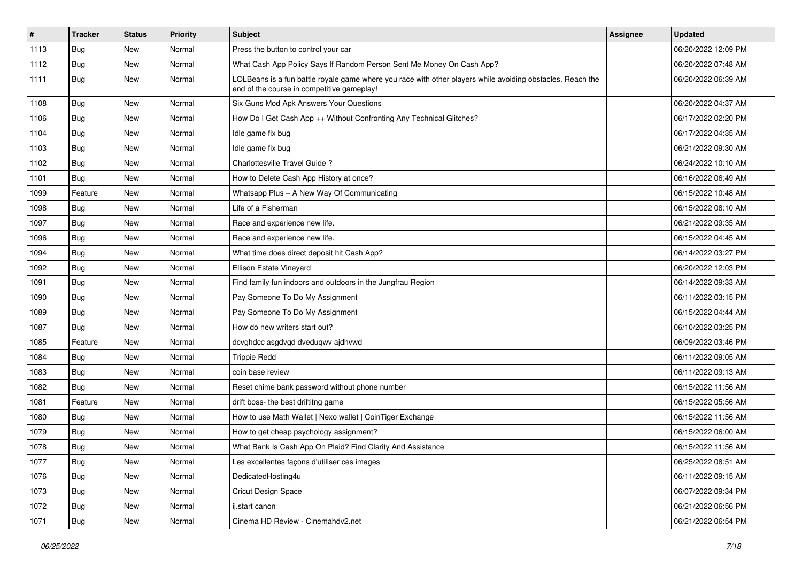| $\pmb{\sharp}$ | <b>Tracker</b> | <b>Status</b> | <b>Priority</b> | Subject                                                                                                                                                  | <b>Assignee</b> | <b>Updated</b>      |
|----------------|----------------|---------------|-----------------|----------------------------------------------------------------------------------------------------------------------------------------------------------|-----------------|---------------------|
| 1113           | <b>Bug</b>     | New           | Normal          | Press the button to control your car                                                                                                                     |                 | 06/20/2022 12:09 PM |
| 1112           | Bug            | New           | Normal          | What Cash App Policy Says If Random Person Sent Me Money On Cash App?                                                                                    |                 | 06/20/2022 07:48 AM |
| 1111           | Bug            | New           | Normal          | LOLBeans is a fun battle royale game where you race with other players while avoiding obstacles. Reach the<br>end of the course in competitive gameplay! |                 | 06/20/2022 06:39 AM |
| 1108           | Bug            | New           | Normal          | Six Guns Mod Apk Answers Your Questions                                                                                                                  |                 | 06/20/2022 04:37 AM |
| 1106           | Bug            | New           | Normal          | How Do I Get Cash App ++ Without Confronting Any Technical Glitches?                                                                                     |                 | 06/17/2022 02:20 PM |
| 1104           | Bug            | New           | Normal          | Idle game fix bug                                                                                                                                        |                 | 06/17/2022 04:35 AM |
| 1103           | Bug            | New           | Normal          | Idle game fix bug                                                                                                                                        |                 | 06/21/2022 09:30 AM |
| 1102           | Bug            | New           | Normal          | Charlottesville Travel Guide?                                                                                                                            |                 | 06/24/2022 10:10 AM |
| 1101           | Bug            | New           | Normal          | How to Delete Cash App History at once?                                                                                                                  |                 | 06/16/2022 06:49 AM |
| 1099           | Feature        | New           | Normal          | Whatsapp Plus - A New Way Of Communicating                                                                                                               |                 | 06/15/2022 10:48 AM |
| 1098           | Bug            | New           | Normal          | Life of a Fisherman                                                                                                                                      |                 | 06/15/2022 08:10 AM |
| 1097           | Bug            | New           | Normal          | Race and experience new life.                                                                                                                            |                 | 06/21/2022 09:35 AM |
| 1096           | Bug            | New           | Normal          | Race and experience new life.                                                                                                                            |                 | 06/15/2022 04:45 AM |
| 1094           | Bug            | New           | Normal          | What time does direct deposit hit Cash App?                                                                                                              |                 | 06/14/2022 03:27 PM |
| 1092           | Bug            | New           | Normal          | Ellison Estate Vineyard                                                                                                                                  |                 | 06/20/2022 12:03 PM |
| 1091           | Bug            | New           | Normal          | Find family fun indoors and outdoors in the Jungfrau Region                                                                                              |                 | 06/14/2022 09:33 AM |
| 1090           | Bug            | New           | Normal          | Pay Someone To Do My Assignment                                                                                                                          |                 | 06/11/2022 03:15 PM |
| 1089           | <b>Bug</b>     | New           | Normal          | Pay Someone To Do My Assignment                                                                                                                          |                 | 06/15/2022 04:44 AM |
| 1087           | Bug            | New           | Normal          | How do new writers start out?                                                                                                                            |                 | 06/10/2022 03:25 PM |
| 1085           | Feature        | New           | Normal          | dcvghdcc asgdvgd dveduqwv ajdhvwd                                                                                                                        |                 | 06/09/2022 03:46 PM |
| 1084           | Bug            | New           | Normal          | <b>Trippie Redd</b>                                                                                                                                      |                 | 06/11/2022 09:05 AM |
| 1083           | Bug            | New           | Normal          | coin base review                                                                                                                                         |                 | 06/11/2022 09:13 AM |
| 1082           | Bug            | New           | Normal          | Reset chime bank password without phone number                                                                                                           |                 | 06/15/2022 11:56 AM |
| 1081           | Feature        | New           | Normal          | drift boss- the best driftitng game                                                                                                                      |                 | 06/15/2022 05:56 AM |
| 1080           | Bug            | New           | Normal          | How to use Math Wallet   Nexo wallet   CoinTiger Exchange                                                                                                |                 | 06/15/2022 11:56 AM |
| 1079           | Bug            | New           | Normal          | How to get cheap psychology assignment?                                                                                                                  |                 | 06/15/2022 06:00 AM |
| 1078           | <b>Bug</b>     | New           | Normal          | What Bank Is Cash App On Plaid? Find Clarity And Assistance                                                                                              |                 | 06/15/2022 11:56 AM |
| 1077           | <b>Bug</b>     | New           | Normal          | Les excellentes façons d'utiliser ces images                                                                                                             |                 | 06/25/2022 08:51 AM |
| 1076           | Bug            | New           | Normal          | DedicatedHosting4u                                                                                                                                       |                 | 06/11/2022 09:15 AM |
| 1073           | Bug            | New           | Normal          | Cricut Design Space                                                                                                                                      |                 | 06/07/2022 09:34 PM |
| 1072           | Bug            | New           | Normal          | ij.start canon                                                                                                                                           |                 | 06/21/2022 06:56 PM |
| 1071           | Bug            | New           | Normal          | Cinema HD Review - Cinemahdv2.net                                                                                                                        |                 | 06/21/2022 06:54 PM |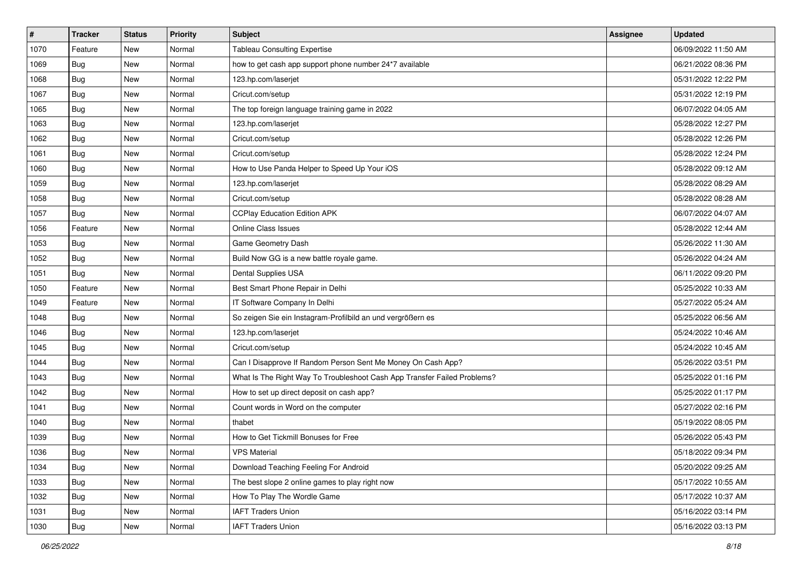| $\vert$ # | <b>Tracker</b> | <b>Status</b> | <b>Priority</b> | <b>Subject</b>                                                           | Assignee | <b>Updated</b>      |
|-----------|----------------|---------------|-----------------|--------------------------------------------------------------------------|----------|---------------------|
| 1070      | Feature        | New           | Normal          | <b>Tableau Consulting Expertise</b>                                      |          | 06/09/2022 11:50 AM |
| 1069      | Bug            | New           | Normal          | how to get cash app support phone number 24*7 available                  |          | 06/21/2022 08:36 PM |
| 1068      | Bug            | New           | Normal          | 123.hp.com/laserjet                                                      |          | 05/31/2022 12:22 PM |
| 1067      | <b>Bug</b>     | New           | Normal          | Cricut.com/setup                                                         |          | 05/31/2022 12:19 PM |
| 1065      | Bug            | New           | Normal          | The top foreign language training game in 2022                           |          | 06/07/2022 04:05 AM |
| 1063      | <b>Bug</b>     | New           | Normal          | 123.hp.com/laserjet                                                      |          | 05/28/2022 12:27 PM |
| 1062      | Bug            | New           | Normal          | Cricut.com/setup                                                         |          | 05/28/2022 12:26 PM |
| 1061      | Bug            | New           | Normal          | Cricut.com/setup                                                         |          | 05/28/2022 12:24 PM |
| 1060      | <b>Bug</b>     | New           | Normal          | How to Use Panda Helper to Speed Up Your iOS                             |          | 05/28/2022 09:12 AM |
| 1059      | Bug            | New           | Normal          | 123.hp.com/laserjet                                                      |          | 05/28/2022 08:29 AM |
| 1058      | Bug            | New           | Normal          | Cricut.com/setup                                                         |          | 05/28/2022 08:28 AM |
| 1057      | <b>Bug</b>     | New           | Normal          | <b>CCPlay Education Edition APK</b>                                      |          | 06/07/2022 04:07 AM |
| 1056      | Feature        | New           | Normal          | Online Class Issues                                                      |          | 05/28/2022 12:44 AM |
| 1053      | Bug            | New           | Normal          | Game Geometry Dash                                                       |          | 05/26/2022 11:30 AM |
| 1052      | <b>Bug</b>     | New           | Normal          | Build Now GG is a new battle royale game.                                |          | 05/26/2022 04:24 AM |
| 1051      | Bug            | New           | Normal          | Dental Supplies USA                                                      |          | 06/11/2022 09:20 PM |
| 1050      | Feature        | New           | Normal          | Best Smart Phone Repair in Delhi                                         |          | 05/25/2022 10:33 AM |
| 1049      | Feature        | New           | Normal          | IT Software Company In Delhi                                             |          | 05/27/2022 05:24 AM |
| 1048      | <b>Bug</b>     | New           | Normal          | So zeigen Sie ein Instagram-Profilbild an und vergrößern es              |          | 05/25/2022 06:56 AM |
| 1046      | <b>Bug</b>     | New           | Normal          | 123.hp.com/laserjet                                                      |          | 05/24/2022 10:46 AM |
| 1045      | <b>Bug</b>     | New           | Normal          | Cricut.com/setup                                                         |          | 05/24/2022 10:45 AM |
| 1044      | <b>Bug</b>     | New           | Normal          | Can I Disapprove If Random Person Sent Me Money On Cash App?             |          | 05/26/2022 03:51 PM |
| 1043      | Bug            | New           | Normal          | What Is The Right Way To Troubleshoot Cash App Transfer Failed Problems? |          | 05/25/2022 01:16 PM |
| 1042      | <b>Bug</b>     | New           | Normal          | How to set up direct deposit on cash app?                                |          | 05/25/2022 01:17 PM |
| 1041      | <b>Bug</b>     | New           | Normal          | Count words in Word on the computer                                      |          | 05/27/2022 02:16 PM |
| 1040      | Bug            | New           | Normal          | thabet                                                                   |          | 05/19/2022 08:05 PM |
| 1039      | <b>Bug</b>     | New           | Normal          | How to Get Tickmill Bonuses for Free                                     |          | 05/26/2022 05:43 PM |
| 1036      | <b>Bug</b>     | New           | Normal          | <b>VPS Material</b>                                                      |          | 05/18/2022 09:34 PM |
| 1034      | Bug            | New           | Normal          | Download Teaching Feeling For Android                                    |          | 05/20/2022 09:25 AM |
| 1033      | Bug            | New           | Normal          | The best slope 2 online games to play right now                          |          | 05/17/2022 10:55 AM |
| 1032      | Bug            | New           | Normal          | How To Play The Wordle Game                                              |          | 05/17/2022 10:37 AM |
| 1031      | <b>Bug</b>     | New           | Normal          | <b>IAFT Traders Union</b>                                                |          | 05/16/2022 03:14 PM |
| 1030      | <b>Bug</b>     | New           | Normal          | <b>IAFT Traders Union</b>                                                |          | 05/16/2022 03:13 PM |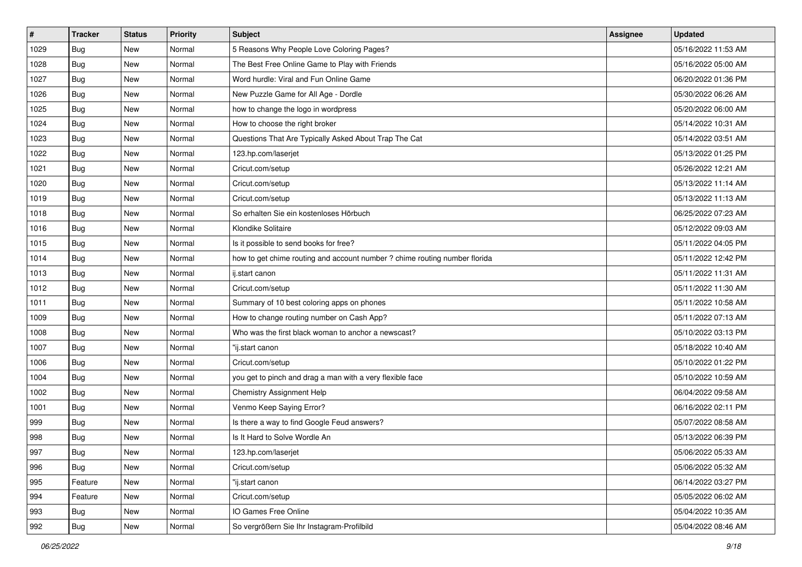| $\pmb{\#}$ | <b>Tracker</b> | <b>Status</b> | <b>Priority</b> | Subject                                                                    | <b>Assignee</b> | <b>Updated</b>      |
|------------|----------------|---------------|-----------------|----------------------------------------------------------------------------|-----------------|---------------------|
| 1029       | Bug            | New           | Normal          | 5 Reasons Why People Love Coloring Pages?                                  |                 | 05/16/2022 11:53 AM |
| 1028       | Bug            | New           | Normal          | The Best Free Online Game to Play with Friends                             |                 | 05/16/2022 05:00 AM |
| 1027       | Bug            | New           | Normal          | Word hurdle: Viral and Fun Online Game                                     |                 | 06/20/2022 01:36 PM |
| 1026       | Bug            | New           | Normal          | New Puzzle Game for All Age - Dordle                                       |                 | 05/30/2022 06:26 AM |
| 1025       | Bug            | <b>New</b>    | Normal          | how to change the logo in wordpress                                        |                 | 05/20/2022 06:00 AM |
| 1024       | Bug            | New           | Normal          | How to choose the right broker                                             |                 | 05/14/2022 10:31 AM |
| 1023       | Bug            | New           | Normal          | Questions That Are Typically Asked About Trap The Cat                      |                 | 05/14/2022 03:51 AM |
| 1022       | Bug            | New           | Normal          | 123.hp.com/laseriet                                                        |                 | 05/13/2022 01:25 PM |
| 1021       | Bug            | New           | Normal          | Cricut.com/setup                                                           |                 | 05/26/2022 12:21 AM |
| 1020       | Bug            | <b>New</b>    | Normal          | Cricut.com/setup                                                           |                 | 05/13/2022 11:14 AM |
| 1019       | Bug            | New           | Normal          | Cricut.com/setup                                                           |                 | 05/13/2022 11:13 AM |
| 1018       | Bug            | New           | Normal          | So erhalten Sie ein kostenloses Hörbuch                                    |                 | 06/25/2022 07:23 AM |
| 1016       | Bug            | New           | Normal          | Klondike Solitaire                                                         |                 | 05/12/2022 09:03 AM |
| 1015       | Bug            | New           | Normal          | Is it possible to send books for free?                                     |                 | 05/11/2022 04:05 PM |
| 1014       | Bug            | New           | Normal          | how to get chime routing and account number ? chime routing number florida |                 | 05/11/2022 12:42 PM |
| 1013       | Bug            | New           | Normal          | ij.start canon                                                             |                 | 05/11/2022 11:31 AM |
| 1012       | Bug            | New           | Normal          | Cricut.com/setup                                                           |                 | 05/11/2022 11:30 AM |
| 1011       | Bug            | New           | Normal          | Summary of 10 best coloring apps on phones                                 |                 | 05/11/2022 10:58 AM |
| 1009       | Bug            | New           | Normal          | How to change routing number on Cash App?                                  |                 | 05/11/2022 07:13 AM |
| 1008       | Bug            | New           | Normal          | Who was the first black woman to anchor a newscast?                        |                 | 05/10/2022 03:13 PM |
| 1007       | Bug            | New           | Normal          | "ij.start canon                                                            |                 | 05/18/2022 10:40 AM |
| 1006       | Bug            | New           | Normal          | Cricut.com/setup                                                           |                 | 05/10/2022 01:22 PM |
| 1004       | Bug            | <b>New</b>    | Normal          | you get to pinch and drag a man with a very flexible face                  |                 | 05/10/2022 10:59 AM |
| 1002       | Bug            | New           | Normal          | Chemistry Assignment Help                                                  |                 | 06/04/2022 09:58 AM |
| 1001       | <b>Bug</b>     | New           | Normal          | Venmo Keep Saying Error?                                                   |                 | 06/16/2022 02:11 PM |
| 999        | Bug            | New           | Normal          | Is there a way to find Google Feud answers?                                |                 | 05/07/2022 08:58 AM |
| 998        | <b>Bug</b>     | New           | Normal          | Is It Hard to Solve Wordle An                                              |                 | 05/13/2022 06:39 PM |
| 997        | <b>Bug</b>     | New           | Normal          | 123.hp.com/laserjet                                                        |                 | 05/06/2022 05:33 AM |
| 996        | Bug            | New           | Normal          | Cricut.com/setup                                                           |                 | 05/06/2022 05:32 AM |
| 995        | Feature        | New           | Normal          | "ij.start canon                                                            |                 | 06/14/2022 03:27 PM |
| 994        | Feature        | New           | Normal          | Cricut.com/setup                                                           |                 | 05/05/2022 06:02 AM |
| 993        | Bug            | New           | Normal          | IO Games Free Online                                                       |                 | 05/04/2022 10:35 AM |
| 992        | <b>Bug</b>     | New           | Normal          | So vergrößern Sie Ihr Instagram-Profilbild                                 |                 | 05/04/2022 08:46 AM |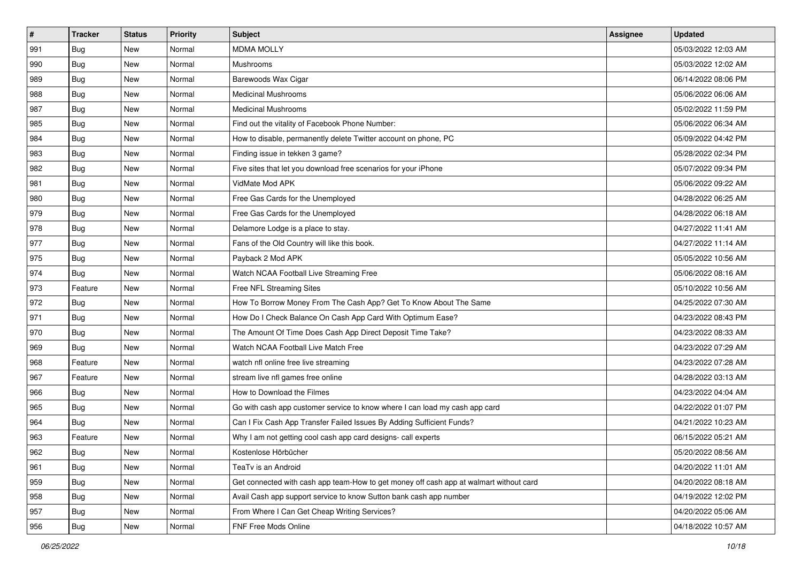| #   | <b>Tracker</b> | <b>Status</b> | <b>Priority</b> | Subject                                                                                | <b>Assignee</b> | <b>Updated</b>      |
|-----|----------------|---------------|-----------------|----------------------------------------------------------------------------------------|-----------------|---------------------|
| 991 | <b>Bug</b>     | New           | Normal          | <b>MDMA MOLLY</b>                                                                      |                 | 05/03/2022 12:03 AM |
| 990 | <b>Bug</b>     | New           | Normal          | Mushrooms                                                                              |                 | 05/03/2022 12:02 AM |
| 989 | Bug            | New           | Normal          | Barewoods Wax Cigar                                                                    |                 | 06/14/2022 08:06 PM |
| 988 | Bug            | New           | Normal          | <b>Medicinal Mushrooms</b>                                                             |                 | 05/06/2022 06:06 AM |
| 987 | Bug            | New           | Normal          | <b>Medicinal Mushrooms</b>                                                             |                 | 05/02/2022 11:59 PM |
| 985 | <b>Bug</b>     | New           | Normal          | Find out the vitality of Facebook Phone Number:                                        |                 | 05/06/2022 06:34 AM |
| 984 | Bug            | New           | Normal          | How to disable, permanently delete Twitter account on phone, PC                        |                 | 05/09/2022 04:42 PM |
| 983 | <b>Bug</b>     | New           | Normal          | Finding issue in tekken 3 game?                                                        |                 | 05/28/2022 02:34 PM |
| 982 | <b>Bug</b>     | New           | Normal          | Five sites that let you download free scenarios for your iPhone                        |                 | 05/07/2022 09:34 PM |
| 981 | Bug            | New           | Normal          | VidMate Mod APK                                                                        |                 | 05/06/2022 09:22 AM |
| 980 | <b>Bug</b>     | New           | Normal          | Free Gas Cards for the Unemployed                                                      |                 | 04/28/2022 06:25 AM |
| 979 | Bug            | New           | Normal          | Free Gas Cards for the Unemployed                                                      |                 | 04/28/2022 06:18 AM |
| 978 | Bug            | New           | Normal          | Delamore Lodge is a place to stay.                                                     |                 | 04/27/2022 11:41 AM |
| 977 | <b>Bug</b>     | New           | Normal          | Fans of the Old Country will like this book.                                           |                 | 04/27/2022 11:14 AM |
| 975 | <b>Bug</b>     | New           | Normal          | Payback 2 Mod APK                                                                      |                 | 05/05/2022 10:56 AM |
| 974 | Bug            | New           | Normal          | Watch NCAA Football Live Streaming Free                                                |                 | 05/06/2022 08:16 AM |
| 973 | Feature        | New           | Normal          | Free NFL Streaming Sites                                                               |                 | 05/10/2022 10:56 AM |
| 972 | Bug            | New           | Normal          | How To Borrow Money From The Cash App? Get To Know About The Same                      |                 | 04/25/2022 07:30 AM |
| 971 | Bug            | New           | Normal          | How Do I Check Balance On Cash App Card With Optimum Ease?                             |                 | 04/23/2022 08:43 PM |
| 970 | <b>Bug</b>     | New           | Normal          | The Amount Of Time Does Cash App Direct Deposit Time Take?                             |                 | 04/23/2022 08:33 AM |
| 969 | Bug            | New           | Normal          | Watch NCAA Football Live Match Free                                                    |                 | 04/23/2022 07:29 AM |
| 968 | Feature        | New           | Normal          | watch nfl online free live streaming                                                   |                 | 04/23/2022 07:28 AM |
| 967 | Feature        | New           | Normal          | stream live nfl games free online                                                      |                 | 04/28/2022 03:13 AM |
| 966 | <b>Bug</b>     | New           | Normal          | How to Download the Filmes                                                             |                 | 04/23/2022 04:04 AM |
| 965 | Bug            | New           | Normal          | Go with cash app customer service to know where I can load my cash app card            |                 | 04/22/2022 01:07 PM |
| 964 | Bug            | New           | Normal          | Can I Fix Cash App Transfer Failed Issues By Adding Sufficient Funds?                  |                 | 04/21/2022 10:23 AM |
| 963 | Feature        | New           | Normal          | Why I am not getting cool cash app card designs- call experts                          |                 | 06/15/2022 05:21 AM |
| 962 | <b>Bug</b>     | New           | Normal          | Kostenlose Hörbücher                                                                   |                 | 05/20/2022 08:56 AM |
| 961 | Bug            | New           | Normal          | TeaTv is an Android                                                                    |                 | 04/20/2022 11:01 AM |
| 959 | Bug            | New           | Normal          | Get connected with cash app team-How to get money off cash app at walmart without card |                 | 04/20/2022 08:18 AM |
| 958 | Bug            | New           | Normal          | Avail Cash app support service to know Sutton bank cash app number                     |                 | 04/19/2022 12:02 PM |
| 957 | <b>Bug</b>     | New           | Normal          | From Where I Can Get Cheap Writing Services?                                           |                 | 04/20/2022 05:06 AM |
| 956 | <b>Bug</b>     | New           | Normal          | FNF Free Mods Online                                                                   |                 | 04/18/2022 10:57 AM |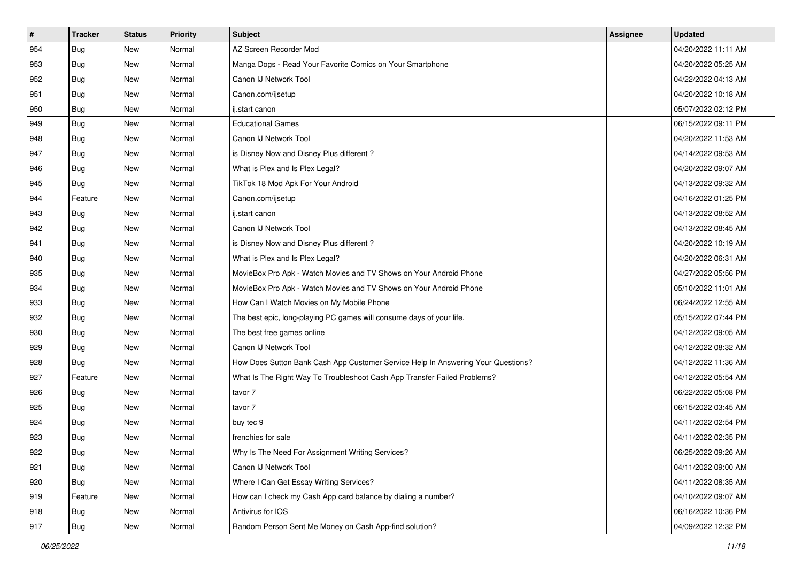| #             | <b>Tracker</b> | <b>Status</b> | <b>Priority</b> | <b>Subject</b>                                                                   | Assignee | <b>Updated</b>      |
|---------------|----------------|---------------|-----------------|----------------------------------------------------------------------------------|----------|---------------------|
| 954           | <b>Bug</b>     | New           | Normal          | AZ Screen Recorder Mod                                                           |          | 04/20/2022 11:11 AM |
| 953           | <b>Bug</b>     | New           | Normal          | Manga Dogs - Read Your Favorite Comics on Your Smartphone                        |          | 04/20/2022 05:25 AM |
| 952           | Bug            | New           | Normal          | Canon IJ Network Tool                                                            |          | 04/22/2022 04:13 AM |
| 951           | <b>Bug</b>     | New           | Normal          | Canon.com/ijsetup                                                                |          | 04/20/2022 10:18 AM |
| 950           | <b>Bug</b>     | <b>New</b>    | Normal          | ij.start canon                                                                   |          | 05/07/2022 02:12 PM |
| 949           | <b>Bug</b>     | New           | Normal          | <b>Educational Games</b>                                                         |          | 06/15/2022 09:11 PM |
| 948           | Bug            | New           | Normal          | Canon IJ Network Tool                                                            |          | 04/20/2022 11:53 AM |
| 947           | Bug            | New           | Normal          | is Disney Now and Disney Plus different?                                         |          | 04/14/2022 09:53 AM |
| 946           | Bug            | New           | Normal          | What is Plex and Is Plex Legal?                                                  |          | 04/20/2022 09:07 AM |
| 945           | Bug            | New           | Normal          | TikTok 18 Mod Apk For Your Android                                               |          | 04/13/2022 09:32 AM |
| 944           | Feature        | New           | Normal          | Canon.com/ijsetup                                                                |          | 04/16/2022 01:25 PM |
| 943           | Bug            | New           | Normal          | ij.start canon                                                                   |          | 04/13/2022 08:52 AM |
| 942           | Bug            | New           | Normal          | Canon IJ Network Tool                                                            |          | 04/13/2022 08:45 AM |
| 941           | <b>Bug</b>     | New           | Normal          | is Disney Now and Disney Plus different?                                         |          | 04/20/2022 10:19 AM |
| 940           | <b>Bug</b>     | New           | Normal          | What is Plex and Is Plex Legal?                                                  |          | 04/20/2022 06:31 AM |
| 935           | Bug            | New           | Normal          | MovieBox Pro Apk - Watch Movies and TV Shows on Your Android Phone               |          | 04/27/2022 05:56 PM |
| 934           | <b>Bug</b>     | New           | Normal          | MovieBox Pro Apk - Watch Movies and TV Shows on Your Android Phone               |          | 05/10/2022 11:01 AM |
| 933           | Bug            | <b>New</b>    | Normal          | How Can I Watch Movies on My Mobile Phone                                        |          | 06/24/2022 12:55 AM |
| 932           | <b>Bug</b>     | New           | Normal          | The best epic, long-playing PC games will consume days of your life.             |          | 05/15/2022 07:44 PM |
| 930           | <b>Bug</b>     | New           | Normal          | The best free games online                                                       |          | 04/12/2022 09:05 AM |
| 929           | <b>Bug</b>     | New           | Normal          | Canon IJ Network Tool                                                            |          | 04/12/2022 08:32 AM |
| 928           | <b>Bug</b>     | New           | Normal          | How Does Sutton Bank Cash App Customer Service Help In Answering Your Questions? |          | 04/12/2022 11:36 AM |
| 927           | Feature        | <b>New</b>    | Normal          | What Is The Right Way To Troubleshoot Cash App Transfer Failed Problems?         |          | 04/12/2022 05:54 AM |
| 926           | <b>Bug</b>     | New           | Normal          | tavor 7                                                                          |          | 06/22/2022 05:08 PM |
| 925           | Bug            | New           | Normal          | tavor 7                                                                          |          | 06/15/2022 03:45 AM |
| 924           | Bug            | New           | Normal          | buy tec 9                                                                        |          | 04/11/2022 02:54 PM |
| 923           | <b>Bug</b>     | New           | Normal          | frenchies for sale                                                               |          | 04/11/2022 02:35 PM |
| 922           | <b>Bug</b>     | New           | Normal          | Why Is The Need For Assignment Writing Services?                                 |          | 06/25/2022 09:26 AM |
| 921           | <b>Bug</b>     | New           | Normal          | Canon IJ Network Tool                                                            |          | 04/11/2022 09:00 AM |
| $ 920\rangle$ | Bug            | New           | Normal          | Where I Can Get Essay Writing Services?                                          |          | 04/11/2022 08:35 AM |
| 919           | Feature        | New           | Normal          | How can I check my Cash App card balance by dialing a number?                    |          | 04/10/2022 09:07 AM |
| 918           | Bug            | New           | Normal          | Antivirus for IOS                                                                |          | 06/16/2022 10:36 PM |
| 917           | <b>Bug</b>     | New           | Normal          | Random Person Sent Me Money on Cash App-find solution?                           |          | 04/09/2022 12:32 PM |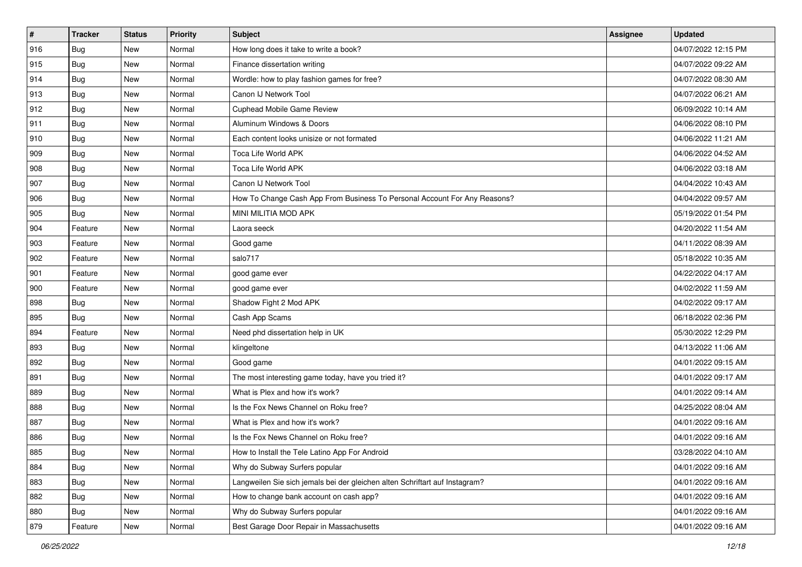| $\sharp$ | <b>Tracker</b> | <b>Status</b> | Priority | <b>Subject</b>                                                              | Assignee | <b>Updated</b>      |
|----------|----------------|---------------|----------|-----------------------------------------------------------------------------|----------|---------------------|
| 916      | Bug            | New           | Normal   | How long does it take to write a book?                                      |          | 04/07/2022 12:15 PM |
| 915      | <b>Bug</b>     | New           | Normal   | Finance dissertation writing                                                |          | 04/07/2022 09:22 AM |
| 914      | Bug            | New           | Normal   | Wordle: how to play fashion games for free?                                 |          | 04/07/2022 08:30 AM |
| 913      | Bug            | New           | Normal   | Canon IJ Network Tool                                                       |          | 04/07/2022 06:21 AM |
| 912      | Bug            | New           | Normal   | Cuphead Mobile Game Review                                                  |          | 06/09/2022 10:14 AM |
| 911      | <b>Bug</b>     | New           | Normal   | Aluminum Windows & Doors                                                    |          | 04/06/2022 08:10 PM |
| 910      | Bug            | New           | Normal   | Each content looks unisize or not formated                                  |          | 04/06/2022 11:21 AM |
| 909      | <b>Bug</b>     | New           | Normal   | Toca Life World APK                                                         |          | 04/06/2022 04:52 AM |
| 908      | <b>Bug</b>     | New           | Normal   | Toca Life World APK                                                         |          | 04/06/2022 03:18 AM |
| 907      | Bug            | New           | Normal   | Canon IJ Network Tool                                                       |          | 04/04/2022 10:43 AM |
| 906      | <b>Bug</b>     | New           | Normal   | How To Change Cash App From Business To Personal Account For Any Reasons?   |          | 04/04/2022 09:57 AM |
| 905      | <b>Bug</b>     | New           | Normal   | MINI MILITIA MOD APK                                                        |          | 05/19/2022 01:54 PM |
| 904      | Feature        | New           | Normal   | Laora seeck                                                                 |          | 04/20/2022 11:54 AM |
| 903      | Feature        | New           | Normal   | Good game                                                                   |          | 04/11/2022 08:39 AM |
| 902      | Feature        | New           | Normal   | salo717                                                                     |          | 05/18/2022 10:35 AM |
| 901      | Feature        | New           | Normal   | good game ever                                                              |          | 04/22/2022 04:17 AM |
| 900      | Feature        | New           | Normal   | good game ever                                                              |          | 04/02/2022 11:59 AM |
| 898      | Bug            | New           | Normal   | Shadow Fight 2 Mod APK                                                      |          | 04/02/2022 09:17 AM |
| 895      | <b>Bug</b>     | New           | Normal   | Cash App Scams                                                              |          | 06/18/2022 02:36 PM |
| 894      | Feature        | New           | Normal   | Need phd dissertation help in UK                                            |          | 05/30/2022 12:29 PM |
| 893      | Bug            | New           | Normal   | klingeltone                                                                 |          | 04/13/2022 11:06 AM |
| 892      | <b>Bug</b>     | New           | Normal   | Good game                                                                   |          | 04/01/2022 09:15 AM |
| 891      | Bug            | New           | Normal   | The most interesting game today, have you tried it?                         |          | 04/01/2022 09:17 AM |
| 889      | Bug            | New           | Normal   | What is Plex and how it's work?                                             |          | 04/01/2022 09:14 AM |
| 888      | Bug            | New           | Normal   | Is the Fox News Channel on Roku free?                                       |          | 04/25/2022 08:04 AM |
| 887      | Bug            | New           | Normal   | What is Plex and how it's work?                                             |          | 04/01/2022 09:16 AM |
| 886      | <b>Bug</b>     | New           | Normal   | Is the Fox News Channel on Roku free?                                       |          | 04/01/2022 09:16 AM |
| 885      | i Bug          | New           | Normal   | How to Install the Tele Latino App For Android                              |          | 03/28/2022 04:10 AM |
| 884      | <b>Bug</b>     | New           | Normal   | Why do Subway Surfers popular                                               |          | 04/01/2022 09:16 AM |
| 883      | <b>Bug</b>     | New           | Normal   | Langweilen Sie sich jemals bei der gleichen alten Schriftart auf Instagram? |          | 04/01/2022 09:16 AM |
| 882      | <b>Bug</b>     | New           | Normal   | How to change bank account on cash app?                                     |          | 04/01/2022 09:16 AM |
| 880      | <b>Bug</b>     | New           | Normal   | Why do Subway Surfers popular                                               |          | 04/01/2022 09:16 AM |
| 879      | Feature        | New           | Normal   | Best Garage Door Repair in Massachusetts                                    |          | 04/01/2022 09:16 AM |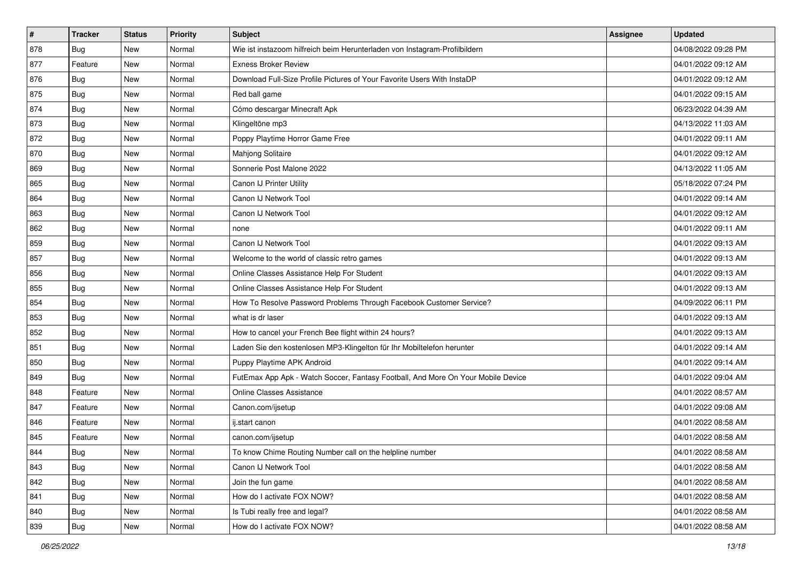| $\sharp$ | <b>Tracker</b> | <b>Status</b> | Priority | <b>Subject</b>                                                                   | Assignee | <b>Updated</b>      |
|----------|----------------|---------------|----------|----------------------------------------------------------------------------------|----------|---------------------|
| 878      | <b>Bug</b>     | New           | Normal   | Wie ist instazoom hilfreich beim Herunterladen von Instagram-Profilbildern       |          | 04/08/2022 09:28 PM |
| 877      | Feature        | New           | Normal   | <b>Exness Broker Review</b>                                                      |          | 04/01/2022 09:12 AM |
| 876      | Bug            | New           | Normal   | Download Full-Size Profile Pictures of Your Favorite Users With InstaDP          |          | 04/01/2022 09:12 AM |
| 875      | <b>Bug</b>     | New           | Normal   | Red ball game                                                                    |          | 04/01/2022 09:15 AM |
| 874      | Bug            | New           | Normal   | Cómo descargar Minecraft Apk                                                     |          | 06/23/2022 04:39 AM |
| 873      | <b>Bug</b>     | New           | Normal   | Klingeltöne mp3                                                                  |          | 04/13/2022 11:03 AM |
| 872      | <b>Bug</b>     | New           | Normal   | Poppy Playtime Horror Game Free                                                  |          | 04/01/2022 09:11 AM |
| 870      | <b>Bug</b>     | New           | Normal   | Mahjong Solitaire                                                                |          | 04/01/2022 09:12 AM |
| 869      | <b>Bug</b>     | New           | Normal   | Sonnerie Post Malone 2022                                                        |          | 04/13/2022 11:05 AM |
| 865      | <b>Bug</b>     | New           | Normal   | Canon IJ Printer Utility                                                         |          | 05/18/2022 07:24 PM |
| 864      | <b>Bug</b>     | New           | Normal   | Canon IJ Network Tool                                                            |          | 04/01/2022 09:14 AM |
| 863      | <b>Bug</b>     | New           | Normal   | Canon IJ Network Tool                                                            |          | 04/01/2022 09:12 AM |
| 862      | Bug            | New           | Normal   | none                                                                             |          | 04/01/2022 09:11 AM |
| 859      | <b>Bug</b>     | New           | Normal   | Canon IJ Network Tool                                                            |          | 04/01/2022 09:13 AM |
| 857      | <b>Bug</b>     | New           | Normal   | Welcome to the world of classic retro games                                      |          | 04/01/2022 09:13 AM |
| 856      | Bug            | New           | Normal   | Online Classes Assistance Help For Student                                       |          | 04/01/2022 09:13 AM |
| 855      | <b>Bug</b>     | New           | Normal   | Online Classes Assistance Help For Student                                       |          | 04/01/2022 09:13 AM |
| 854      | Bug            | New           | Normal   | How To Resolve Password Problems Through Facebook Customer Service?              |          | 04/09/2022 06:11 PM |
| 853      | <b>Bug</b>     | New           | Normal   | what is dr laser                                                                 |          | 04/01/2022 09:13 AM |
| 852      | Bug            | New           | Normal   | How to cancel your French Bee flight within 24 hours?                            |          | 04/01/2022 09:13 AM |
| 851      | <b>Bug</b>     | New           | Normal   | Laden Sie den kostenlosen MP3-Klingelton für Ihr Mobiltelefon herunter           |          | 04/01/2022 09:14 AM |
| 850      | <b>Bug</b>     | New           | Normal   | Puppy Playtime APK Android                                                       |          | 04/01/2022 09:14 AM |
| 849      | Bug            | New           | Normal   | FutEmax App Apk - Watch Soccer, Fantasy Football, And More On Your Mobile Device |          | 04/01/2022 09:04 AM |
| 848      | Feature        | New           | Normal   | <b>Online Classes Assistance</b>                                                 |          | 04/01/2022 08:57 AM |
| 847      | Feature        | New           | Normal   | Canon.com/ijsetup                                                                |          | 04/01/2022 09:08 AM |
| 846      | Feature        | New           | Normal   | ij.start canon                                                                   |          | 04/01/2022 08:58 AM |
| 845      | Feature        | New           | Normal   | canon.com/ijsetup                                                                |          | 04/01/2022 08:58 AM |
| 844      | Bug            | New           | Normal   | To know Chime Routing Number call on the helpline number                         |          | 04/01/2022 08:58 AM |
| 843      | Bug            | New           | Normal   | Canon IJ Network Tool                                                            |          | 04/01/2022 08:58 AM |
| 842      | <b>Bug</b>     | New           | Normal   | Join the fun game                                                                |          | 04/01/2022 08:58 AM |
| 841      | Bug            | New           | Normal   | How do I activate FOX NOW?                                                       |          | 04/01/2022 08:58 AM |
| 840      | Bug            | New           | Normal   | Is Tubi really free and legal?                                                   |          | 04/01/2022 08:58 AM |
| 839      | <b>Bug</b>     | New           | Normal   | How do I activate FOX NOW?                                                       |          | 04/01/2022 08:58 AM |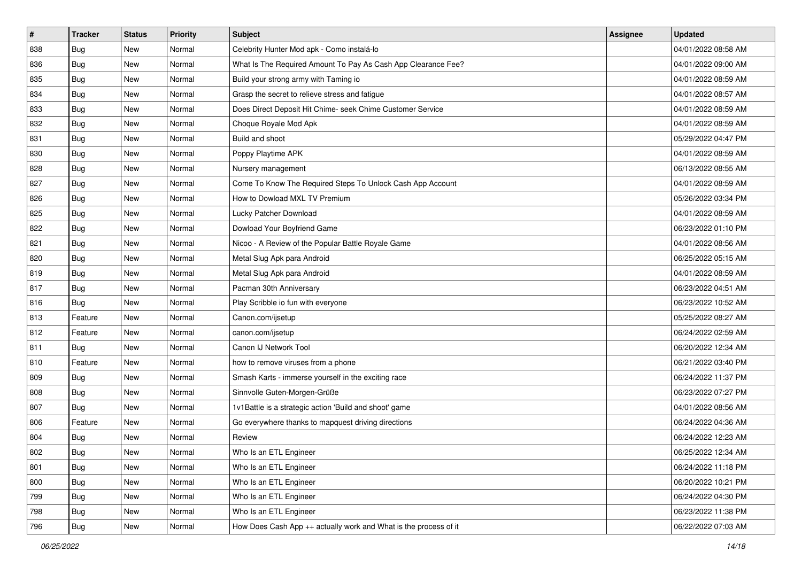| #   | <b>Tracker</b> | <b>Status</b> | <b>Priority</b> | <b>Subject</b>                                                   | Assignee | <b>Updated</b>      |
|-----|----------------|---------------|-----------------|------------------------------------------------------------------|----------|---------------------|
| 838 | <b>Bug</b>     | New           | Normal          | Celebrity Hunter Mod apk - Como instalá-lo                       |          | 04/01/2022 08:58 AM |
| 836 | <b>Bug</b>     | New           | Normal          | What Is The Required Amount To Pay As Cash App Clearance Fee?    |          | 04/01/2022 09:00 AM |
| 835 | Bug            | New           | Normal          | Build your strong army with Taming io                            |          | 04/01/2022 08:59 AM |
| 834 | <b>Bug</b>     | New           | Normal          | Grasp the secret to relieve stress and fatigue                   |          | 04/01/2022 08:57 AM |
| 833 | <b>Bug</b>     | <b>New</b>    | Normal          | Does Direct Deposit Hit Chime- seek Chime Customer Service       |          | 04/01/2022 08:59 AM |
| 832 | <b>Bug</b>     | New           | Normal          | Choque Royale Mod Apk                                            |          | 04/01/2022 08:59 AM |
| 831 | Bug            | New           | Normal          | Build and shoot                                                  |          | 05/29/2022 04:47 PM |
| 830 | Bug            | New           | Normal          | Poppy Playtime APK                                               |          | 04/01/2022 08:59 AM |
| 828 | <b>Bug</b>     | New           | Normal          | Nursery management                                               |          | 06/13/2022 08:55 AM |
| 827 | Bug            | New           | Normal          | Come To Know The Required Steps To Unlock Cash App Account       |          | 04/01/2022 08:59 AM |
| 826 | <b>Bug</b>     | New           | Normal          | How to Dowload MXL TV Premium                                    |          | 05/26/2022 03:34 PM |
| 825 | Bug            | New           | Normal          | Lucky Patcher Download                                           |          | 04/01/2022 08:59 AM |
| 822 | Bug            | New           | Normal          | Dowload Your Boyfriend Game                                      |          | 06/23/2022 01:10 PM |
| 821 | <b>Bug</b>     | New           | Normal          | Nicoo - A Review of the Popular Battle Royale Game               |          | 04/01/2022 08:56 AM |
| 820 | <b>Bug</b>     | New           | Normal          | Metal Slug Apk para Android                                      |          | 06/25/2022 05:15 AM |
| 819 | Bug            | New           | Normal          | Metal Slug Apk para Android                                      |          | 04/01/2022 08:59 AM |
| 817 | <b>Bug</b>     | New           | Normal          | Pacman 30th Anniversary                                          |          | 06/23/2022 04:51 AM |
| 816 | Bug            | <b>New</b>    | Normal          | Play Scribble io fun with everyone                               |          | 06/23/2022 10:52 AM |
| 813 | Feature        | New           | Normal          | Canon.com/ijsetup                                                |          | 05/25/2022 08:27 AM |
| 812 | Feature        | New           | Normal          | canon.com/ijsetup                                                |          | 06/24/2022 02:59 AM |
| 811 | Bug            | New           | Normal          | Canon IJ Network Tool                                            |          | 06/20/2022 12:34 AM |
| 810 | Feature        | New           | Normal          | how to remove viruses from a phone                               |          | 06/21/2022 03:40 PM |
| 809 | Bug            | <b>New</b>    | Normal          | Smash Karts - immerse yourself in the exciting race              |          | 06/24/2022 11:37 PM |
| 808 | <b>Bug</b>     | New           | Normal          | Sinnvolle Guten-Morgen-Grüße                                     |          | 06/23/2022 07:27 PM |
| 807 | <b>Bug</b>     | New           | Normal          | 1v1Battle is a strategic action 'Build and shoot' game           |          | 04/01/2022 08:56 AM |
| 806 | Feature        | New           | Normal          | Go everywhere thanks to mapquest driving directions              |          | 06/24/2022 04:36 AM |
| 804 | <b>Bug</b>     | New           | Normal          | Review                                                           |          | 06/24/2022 12:23 AM |
| 802 | <b>Bug</b>     | New           | Normal          | Who Is an ETL Engineer                                           |          | 06/25/2022 12:34 AM |
| 801 | <b>Bug</b>     | New           | Normal          | Who Is an ETL Engineer                                           |          | 06/24/2022 11:18 PM |
| 800 | Bug            | New           | Normal          | Who Is an ETL Engineer                                           |          | 06/20/2022 10:21 PM |
| 799 | Bug            | New           | Normal          | Who Is an ETL Engineer                                           |          | 06/24/2022 04:30 PM |
| 798 | <b>Bug</b>     | New           | Normal          | Who Is an ETL Engineer                                           |          | 06/23/2022 11:38 PM |
| 796 | <b>Bug</b>     | New           | Normal          | How Does Cash App ++ actually work and What is the process of it |          | 06/22/2022 07:03 AM |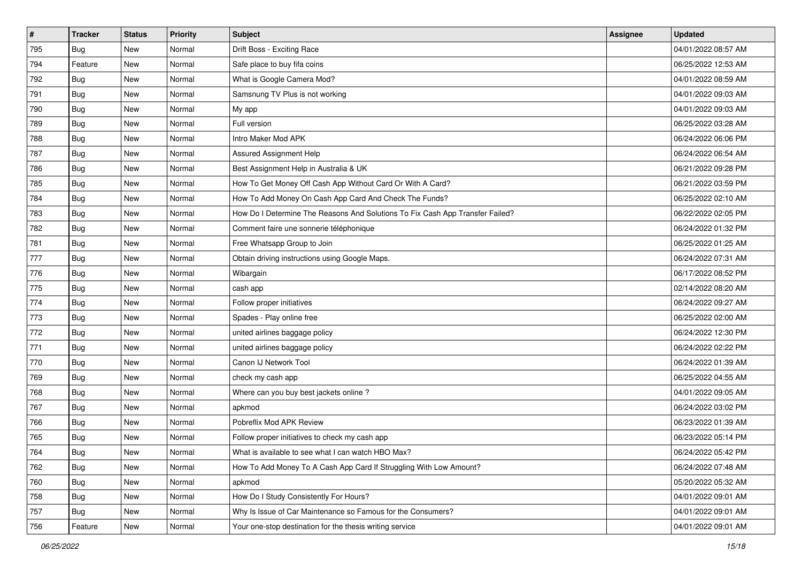| #   | <b>Tracker</b> | <b>Status</b> | <b>Priority</b> | <b>Subject</b>                                                                | Assignee | <b>Updated</b>      |
|-----|----------------|---------------|-----------------|-------------------------------------------------------------------------------|----------|---------------------|
| 795 | <b>Bug</b>     | New           | Normal          | Drift Boss - Exciting Race                                                    |          | 04/01/2022 08:57 AM |
| 794 | Feature        | <b>New</b>    | Normal          | Safe place to buy fifa coins                                                  |          | 06/25/2022 12:53 AM |
| 792 | <b>Bug</b>     | New           | Normal          | What is Google Camera Mod?                                                    |          | 04/01/2022 08:59 AM |
| 791 | Bug            | New           | Normal          | Samsnung TV Plus is not working                                               |          | 04/01/2022 09:03 AM |
| 790 | <b>Bug</b>     | <b>New</b>    | Normal          | My app                                                                        |          | 04/01/2022 09:03 AM |
| 789 | Bug            | New           | Normal          | Full version                                                                  |          | 06/25/2022 03:28 AM |
| 788 | Bug            | New           | Normal          | Intro Maker Mod APK                                                           |          | 06/24/2022 06:06 PM |
| 787 | Bug            | New           | Normal          | Assured Assignment Help                                                       |          | 06/24/2022 06:54 AM |
| 786 | Bug            | New           | Normal          | Best Assignment Help in Australia & UK                                        |          | 06/21/2022 09:28 PM |
| 785 | Bug            | New           | Normal          | How To Get Money Off Cash App Without Card Or With A Card?                    |          | 06/21/2022 03:59 PM |
| 784 | <b>Bug</b>     | New           | Normal          | How To Add Money On Cash App Card And Check The Funds?                        |          | 06/25/2022 02:10 AM |
| 783 | <b>Bug</b>     | New           | Normal          | How Do I Determine The Reasons And Solutions To Fix Cash App Transfer Failed? |          | 06/22/2022 02:05 PM |
| 782 | Bug            | New           | Normal          | Comment faire une sonnerie téléphonique                                       |          | 06/24/2022 01:32 PM |
| 781 | Bug            | New           | Normal          | Free Whatsapp Group to Join                                                   |          | 06/25/2022 01:25 AM |
| 777 | <b>Bug</b>     | New           | Normal          | Obtain driving instructions using Google Maps.                                |          | 06/24/2022 07:31 AM |
| 776 | <b>Bug</b>     | New           | Normal          | Wibargain                                                                     |          | 06/17/2022 08:52 PM |
| 775 | Bug            | New           | Normal          | cash app                                                                      |          | 02/14/2022 08:20 AM |
| 774 | Bug            | <b>New</b>    | Normal          | Follow proper initiatives                                                     |          | 06/24/2022 09:27 AM |
| 773 | <b>Bug</b>     | New           | Normal          | Spades - Play online free                                                     |          | 06/25/2022 02:00 AM |
| 772 | Bug            | New           | Normal          | united airlines baggage policy                                                |          | 06/24/2022 12:30 PM |
| 771 | <b>Bug</b>     | New           | Normal          | united airlines baggage policy                                                |          | 06/24/2022 02:22 PM |
| 770 | <b>Bug</b>     | New           | Normal          | Canon IJ Network Tool                                                         |          | 06/24/2022 01:39 AM |
| 769 | Bug            | <b>New</b>    | Normal          | check my cash app                                                             |          | 06/25/2022 04:55 AM |
| 768 | <b>Bug</b>     | New           | Normal          | Where can you buy best jackets online?                                        |          | 04/01/2022 09:05 AM |
| 767 | Bug            | New           | Normal          | apkmod                                                                        |          | 06/24/2022 03:02 PM |
| 766 | Bug            | New           | Normal          | Pobreflix Mod APK Review                                                      |          | 06/23/2022 01:39 AM |
| 765 | <b>Bug</b>     | New           | Normal          | Follow proper initiatives to check my cash app                                |          | 06/23/2022 05:14 PM |
| 764 | <b>Bug</b>     | New           | Normal          | What is available to see what I can watch HBO Max?                            |          | 06/24/2022 05:42 PM |
| 762 | Bug            | New           | Normal          | How To Add Money To A Cash App Card If Struggling With Low Amount?            |          | 06/24/2022 07:48 AM |
| 760 | Bug            | New           | Normal          | apkmod                                                                        |          | 05/20/2022 05:32 AM |
| 758 | Bug            | New           | Normal          | How Do I Study Consistently For Hours?                                        |          | 04/01/2022 09:01 AM |
| 757 | Bug            | New           | Normal          | Why Is Issue of Car Maintenance so Famous for the Consumers?                  |          | 04/01/2022 09:01 AM |
| 756 | Feature        | New           | Normal          | Your one-stop destination for the thesis writing service                      |          | 04/01/2022 09:01 AM |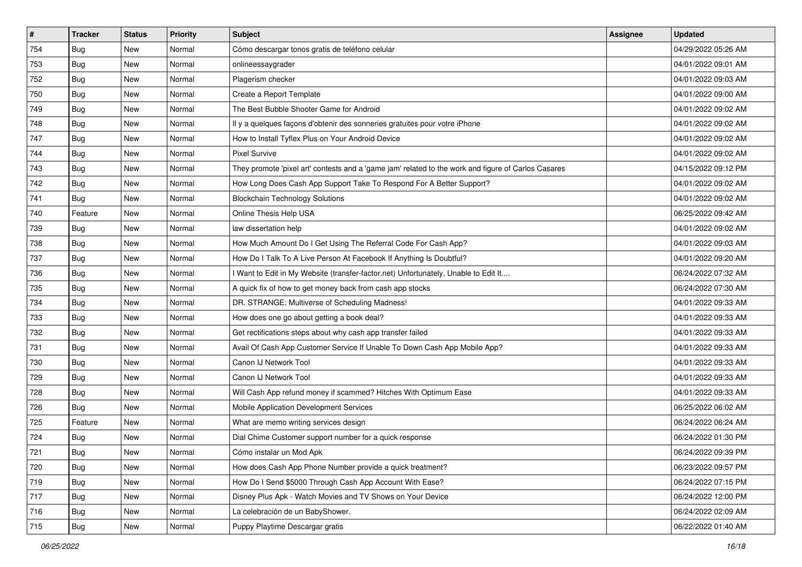| #   | <b>Tracker</b> | <b>Status</b> | <b>Priority</b> | Subject                                                                                             | <b>Assignee</b> | <b>Updated</b>      |
|-----|----------------|---------------|-----------------|-----------------------------------------------------------------------------------------------------|-----------------|---------------------|
| 754 | <b>Bug</b>     | New           | Normal          | Cómo descargar tonos gratis de teléfono celular                                                     |                 | 04/29/2022 05:26 AM |
| 753 | Bug            | New           | Normal          | onlineessaygrader                                                                                   |                 | 04/01/2022 09:01 AM |
| 752 | Bug            | New           | Normal          | Plagerism checker                                                                                   |                 | 04/01/2022 09:03 AM |
| 750 | Bug            | New           | Normal          | Create a Report Template                                                                            |                 | 04/01/2022 09:00 AM |
| 749 | Bug            | <b>New</b>    | Normal          | The Best Bubble Shooter Game for Android                                                            |                 | 04/01/2022 09:02 AM |
| 748 | Bug            | New           | Normal          | Il y a quelques façons d'obtenir des sonneries gratuites pour votre iPhone                          |                 | 04/01/2022 09:02 AM |
| 747 | Bug            | New           | Normal          | How to Install Tyflex Plus on Your Android Device                                                   |                 | 04/01/2022 09:02 AM |
| 744 | Bug            | New           | Normal          | Pixel Survive                                                                                       |                 | 04/01/2022 09:02 AM |
| 743 | Bug            | New           | Normal          | They promote 'pixel art' contests and a 'game jam' related to the work and figure of Carlos Casares |                 | 04/15/2022 09:12 PM |
| 742 | Bug            | New           | Normal          | How Long Does Cash App Support Take To Respond For A Better Support?                                |                 | 04/01/2022 09:02 AM |
| 741 | Bug            | New           | Normal          | <b>Blockchain Technology Solutions</b>                                                              |                 | 04/01/2022 09:02 AM |
| 740 | Feature        | New           | Normal          | Online Thesis Help USA                                                                              |                 | 06/25/2022 09:42 AM |
| 739 | Bug            | New           | Normal          | law dissertation help                                                                               |                 | 04/01/2022 09:02 AM |
| 738 | Bug            | New           | Normal          | How Much Amount Do I Get Using The Referral Code For Cash App?                                      |                 | 04/01/2022 09:03 AM |
| 737 | Bug            | New           | Normal          | How Do I Talk To A Live Person At Facebook If Anything Is Doubtful?                                 |                 | 04/01/2022 09:20 AM |
| 736 | Bug            | New           | Normal          | I Want to Edit in My Website (transfer-factor.net) Unfortunately, Unable to Edit It                 |                 | 06/24/2022 07:32 AM |
| 735 | Bug            | New           | Normal          | A quick fix of how to get money back from cash app stocks                                           |                 | 06/24/2022 07:30 AM |
| 734 | Bug            | New           | Normal          | DR. STRANGE: Multiverse of Scheduling Madness!                                                      |                 | 04/01/2022 09:33 AM |
| 733 | <b>Bug</b>     | New           | Normal          | How does one go about getting a book deal?                                                          |                 | 04/01/2022 09:33 AM |
| 732 | Bug            | New           | Normal          | Get rectifications steps about why cash app transfer failed                                         |                 | 04/01/2022 09:33 AM |
| 731 | <b>Bug</b>     | New           | Normal          | Avail Of Cash App Customer Service If Unable To Down Cash App Mobile App?                           |                 | 04/01/2022 09:33 AM |
| 730 | Bug            | New           | Normal          | Canon IJ Network Tool                                                                               |                 | 04/01/2022 09:33 AM |
| 729 | Bug            | <b>New</b>    | Normal          | Canon IJ Network Tool                                                                               |                 | 04/01/2022 09:33 AM |
| 728 | Bug            | New           | Normal          | Will Cash App refund money if scammed? Hitches With Optimum Ease                                    |                 | 04/01/2022 09:33 AM |
| 726 | Bug            | New           | Normal          | Mobile Application Development Services                                                             |                 | 06/25/2022 06:02 AM |
| 725 | Feature        | New           | Normal          | What are memo writing services design                                                               |                 | 06/24/2022 06:24 AM |
| 724 | Bug            | New           | Normal          | Dial Chime Customer support number for a quick response                                             |                 | 06/24/2022 01:30 PM |
| 721 | Bug            | New           | Normal          | Cómo instalar un Mod Apk                                                                            |                 | 06/24/2022 09:39 PM |
| 720 | <b>Bug</b>     | New           | Normal          | How does Cash App Phone Number provide a quick treatment?                                           |                 | 06/23/2022 09:57 PM |
| 719 | Bug            | New           | Normal          | How Do I Send \$5000 Through Cash App Account With Ease?                                            |                 | 06/24/2022 07:15 PM |
| 717 | Bug            | New           | Normal          | Disney Plus Apk - Watch Movies and TV Shows on Your Device                                          |                 | 06/24/2022 12:00 PM |
| 716 | <b>Bug</b>     | New           | Normal          | La celebración de un BabyShower.                                                                    |                 | 06/24/2022 02:09 AM |
| 715 | <b>Bug</b>     | New           | Normal          | Puppy Playtime Descargar gratis                                                                     |                 | 06/22/2022 01:40 AM |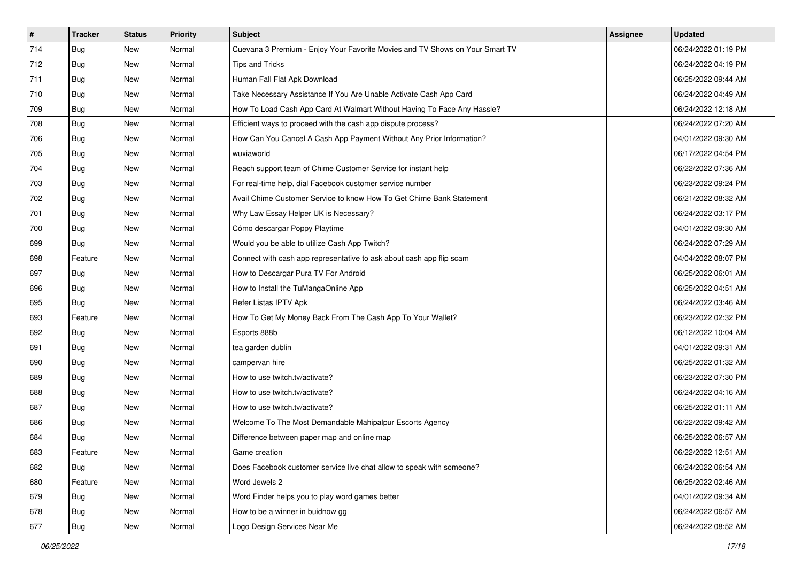| #   | <b>Tracker</b> | <b>Status</b> | <b>Priority</b> | Subject                                                                      | <b>Assignee</b> | <b>Updated</b>      |
|-----|----------------|---------------|-----------------|------------------------------------------------------------------------------|-----------------|---------------------|
| 714 | <b>Bug</b>     | New           | Normal          | Cuevana 3 Premium - Enjoy Your Favorite Movies and TV Shows on Your Smart TV |                 | 06/24/2022 01:19 PM |
| 712 | Bug            | New           | Normal          | <b>Tips and Tricks</b>                                                       |                 | 06/24/2022 04:19 PM |
| 711 | Bug            | New           | Normal          | Human Fall Flat Apk Download                                                 |                 | 06/25/2022 09:44 AM |
| 710 | <b>Bug</b>     | New           | Normal          | Take Necessary Assistance If You Are Unable Activate Cash App Card           |                 | 06/24/2022 04:49 AM |
| 709 | <b>Bug</b>     | <b>New</b>    | Normal          | How To Load Cash App Card At Walmart Without Having To Face Any Hassle?      |                 | 06/24/2022 12:18 AM |
| 708 | Bug            | New           | Normal          | Efficient ways to proceed with the cash app dispute process?                 |                 | 06/24/2022 07:20 AM |
| 706 | Bug            | New           | Normal          | How Can You Cancel A Cash App Payment Without Any Prior Information?         |                 | 04/01/2022 09:30 AM |
| 705 | <b>Bug</b>     | New           | Normal          | wuxiaworld                                                                   |                 | 06/17/2022 04:54 PM |
| 704 | <b>Bug</b>     | New           | Normal          | Reach support team of Chime Customer Service for instant help                |                 | 06/22/2022 07:36 AM |
| 703 | Bug            | New           | Normal          | For real-time help, dial Facebook customer service number                    |                 | 06/23/2022 09:24 PM |
| 702 | Bug            | New           | Normal          | Avail Chime Customer Service to know How To Get Chime Bank Statement         |                 | 06/21/2022 08:32 AM |
| 701 | Bug            | New           | Normal          | Why Law Essay Helper UK is Necessary?                                        |                 | 06/24/2022 03:17 PM |
| 700 | Bug            | New           | Normal          | Cómo descargar Poppy Playtime                                                |                 | 04/01/2022 09:30 AM |
| 699 | Bug            | New           | Normal          | Would you be able to utilize Cash App Twitch?                                |                 | 06/24/2022 07:29 AM |
| 698 | Feature        | New           | Normal          | Connect with cash app representative to ask about cash app flip scam         |                 | 04/04/2022 08:07 PM |
| 697 | Bug            | New           | Normal          | How to Descargar Pura TV For Android                                         |                 | 06/25/2022 06:01 AM |
| 696 | Bug            | New           | Normal          | How to Install the TuMangaOnline App                                         |                 | 06/25/2022 04:51 AM |
| 695 | Bug            | <b>New</b>    | Normal          | Refer Listas IPTV Apk                                                        |                 | 06/24/2022 03:46 AM |
| 693 | Feature        | New           | Normal          | How To Get My Money Back From The Cash App To Your Wallet?                   |                 | 06/23/2022 02:32 PM |
| 692 | Bug            | New           | Normal          | Esports 888b                                                                 |                 | 06/12/2022 10:04 AM |
| 691 | Bug            | New           | Normal          | tea garden dublin                                                            |                 | 04/01/2022 09:31 AM |
| 690 | Bug            | New           | Normal          | campervan hire                                                               |                 | 06/25/2022 01:32 AM |
| 689 | Bug            | <b>New</b>    | Normal          | How to use twitch.tv/activate?                                               |                 | 06/23/2022 07:30 PM |
| 688 | Bug            | New           | Normal          | How to use twitch.tv/activate?                                               |                 | 06/24/2022 04:16 AM |
| 687 | Bug            | New           | Normal          | How to use twitch ty/activate?                                               |                 | 06/25/2022 01:11 AM |
| 686 | Bug            | New           | Normal          | Welcome To The Most Demandable Mahipalpur Escorts Agency                     |                 | 06/22/2022 09:42 AM |
| 684 | <b>Bug</b>     | New           | Normal          | Difference between paper map and online map                                  |                 | 06/25/2022 06:57 AM |
| 683 | Feature        | New           | Normal          | Game creation                                                                |                 | 06/22/2022 12:51 AM |
| 682 | Bug            | New           | Normal          | Does Facebook customer service live chat allow to speak with someone?        |                 | 06/24/2022 06:54 AM |
| 680 | Feature        | New           | Normal          | Word Jewels 2                                                                |                 | 06/25/2022 02:46 AM |
| 679 | Bug            | New           | Normal          | Word Finder helps you to play word games better                              |                 | 04/01/2022 09:34 AM |
| 678 | <b>Bug</b>     | New           | Normal          | How to be a winner in buidnow gg                                             |                 | 06/24/2022 06:57 AM |
| 677 | <b>Bug</b>     | New           | Normal          | Logo Design Services Near Me                                                 |                 | 06/24/2022 08:52 AM |